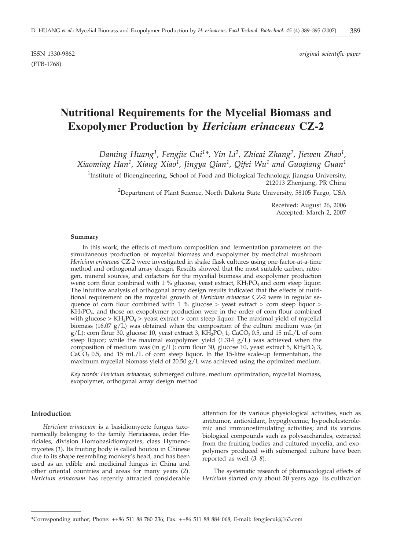(FTB-1768)

ISSN 1330-9862 *original scientific paper*

# **Nutritional Requirements for the Mycelial Biomass and Exopolymer Production by** *Hericium erinaceus* **CZ-2**

*Daming Huang1, Fengjie Cui1\*, Yin Li2, Zhicai Zhang1, Jiewen Zhao1, Xiaoming Han1, Xiang Xiao1, Jingya Qian1, Qifei Wu1 and Guoqiang Guan1*

<sup>1</sup>Institute of Bioengineering, School of Food and Biological Technology, Jiangsu University, 212013 Zhenjiang, PR China

<sup>2</sup>Department of Plant Science, North Dakota State University, 58105 Fargo, USA

Received: August 26, 2006 Accepted: March 2, 2007

#### **Summary**

In this work, the effects of medium composition and fermentation parameters on the simultaneous production of mycelial biomass and exopolymer by medicinal mushroom *Hericium erinaceus* CZ-2 were investigated in shake flask cultures using one-factor-at-a-time method and orthogonal array design. Results showed that the most suitable carbon, nitrogen, mineral sources, and cofactors for the mycelial biomass and exopolymer production were: corn flour combined with 1 % glucose, yeast extract, KH<sub>2</sub>PO<sub>4</sub> and corn steep liquor. The intuitive analysis of orthogonal array design results indicated that the effects of nutritional requirement on the mycelial growth of *Hericium erinaceus* CZ-2 were in regular sequence of corn flour combined with 1 % glucose  $>$  yeast extract  $>$  corn steep liquor  $>$  $KH<sub>2</sub>PO<sub>4</sub>$ , and those on exopolymer production were in the order of corn flour combined with glucose >  $KH_2PO_4$  > yeast extract > corn steep liquor. The maximal yield of mycelial biomass (16.07  $g/L$ ) was obtained when the composition of the culture medium was (in  $g/L$ : corn flour 30, glucose 10, yeast extract 3, KH<sub>2</sub>PO<sub>4</sub> 1, CaCO<sub>3</sub> 0.5, and 15 mL/L of corn steep liquor; while the maximal exopolymer yield  $(1.314 \text{ g/L})$  was achieved when the composition of medium was (in  $g/L$ ): corn flour 30, glucose 10, yeast extract 5, KH<sub>2</sub>PO<sub>4</sub> 3,  $CaCO<sub>3</sub> 0.5$ , and 15 mL/L of corn steep liquor. In the 15-litre scale-up fermentation, the maximum mycelial biomass yield of 20.50 g/L was achieved using the optimized medium.

*Key words: Hericium erinaceus,* submerged culture, medium optimization, mycelial biomass, exopolymer, orthogonal array design method

# **Introduction**

*Hericium erinaceum* is a basidiomycete fungus taxonomically belonging to the family Hericiaceae, order Hericiales, division Homobasidiomycetes, class Hymenomycetes (*1*). Its fruiting body is called houtou in Chinese due to its shape resembling monkey's head, and has been used as an edible and medicinal fungus in China and other oriental countries and areas for many years (*2*). *Hericium erinaceum* has recently attracted considerable attention for its various physiological activities, such as antitumor, antioxidant, hypoglycemic, hypocholesterolemic and immunostimulating activities; and its various biological compounds such as polysaccharides, extracted from the fruiting bodies and cultured mycelia, and exopolymers produced with submerged culture have been reported as well (*3–8*).

The systematic research of pharmacological effects of *Hericium* started only about 20 years ago. Its cultivation

<sup>\*</sup>Corresponding author; Phone: ++86 511 88 780 236; Fax: ++86 511 88 884 068; E-mail: fengjiecui@163.com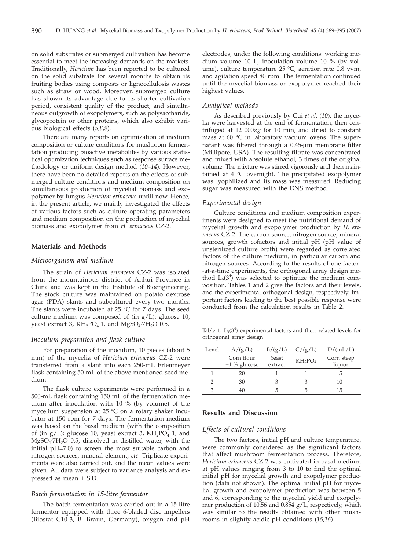on solid substrates or submerged cultivation has become essential to meet the increasing demands on the markets. Traditionally, *Hericium* has been reported to be cultured on the solid substrate for several months to obtain its fruiting bodies using composts or lignocellulosis wastes such as straw or wood. Moreover, submerged culture has shown its advantage due to its shorter cultivation period, consistent quality of the product, and simultaneous outgrowth of exopolymers, such as polysaccharide, glycoprotein or other proteins, which also exhibit various biological effects (*5,8,9*)*.*

There are many reports on optimization of medium composition or culture conditions for mushroom fermentation producing bioactive metabolites by various statistical optimization techniques such as response surface methodology or uniform design method (*10–14*). However, there have been no detailed reports on the effects of submerged culture conditions and medium composition on simultaneous production of mycelial biomass and exopolymer by fungus *Hericium erinaceus* untill now. Hence, in the present article, we mainly investigated the effects of various factors such as culture operating parameters and medium composition on the production of mycelial biomass and exopolymer from *H. erinaceus* CZ-2.

#### **Materials and Methods**

# *Microorganism and medium*

The strain of *Hericium erinaceus* CZ-2 was isolated from the mountainous district of Anhui Province in China and was kept in the Institute of Bioengineering. The stock culture was maintained on potato dextrose agar (PDA) slants and subcultured every two months. The slants were incubated at 25  $\degree$ C for 7 days. The seed culture medium was composed of (in  $g/L$ ): glucose 10, yeast extract 3,  $KH_2PO_4$  1, and  $MgSO_4$ ·7H<sub>2</sub>O 0.5.

# *Inoculum preparation and flask culture*

For preparation of the inoculum, 10 pieces (about 5 mm) of the mycelia of *Hericium erinaceus* CZ-2 were transferred from a slant into each 250-mL Erlenmeyer flask containing 50 mL of the above mentioned seed medium.

The flask culture experiments were performed in a 500-mL flask containing 150 mL of the fermentation medium after inoculation with 10 % (by volume) of the mycelium suspension at 25 °C on a rotary shaker incubator at 150 rpm for 7 days. The fermentation medium was based on the basal medium (with the composition of (in  $g/L$ ): glucose 10, yeast extract 3,  $KH_2PO_4$  1, and  $MgSO<sub>4</sub>·7H<sub>2</sub>O$  0.5, dissolved in distilled water, with the initial pH=7.0) to screen the most suitable carbon and nitrogen sources, mineral element, *etc.* Triplicate experiments were also carried out, and the mean values were given. All data were subject to variance analysis and expressed as mean ± S.D.

# *Batch fermentation in 15-litre fermentor*

The batch fermentation was carried out in a 15-litre fermentor equipped with three 6-bladed disc impellers (Biostat C10-3, B. Braun, Germany), oxygen and pH electrodes, under the following conditions: working medium volume 10 L, inoculation volume 10 % (by volume), culture temperature 25 °C, aeration rate 0.8 vvm, and agitation speed 80 rpm. The fermentation continued until the mycelial biomass or exopolymer reached their highest values.

#### *Analytical methods*

As described previously by Cui *et al*. (*10*), the mycelia were harvested at the end of fermentation, then centrifuged at 12 000×*g* for 10 min, and dried to constant mass at 60 °C in laboratory vacuum ovens. The supernatant was filtered through a 0.45-µm membrane filter (Millipore, USA). The resulting filtrate was concentrated and mixed with absolute ethanol, 3 times of the original volume. The mixture was stirred vigorously and then maintained at 4 °C overnight. The precipitated exopolymer was lyophilized and its mass was measured. Reducing sugar was measured with the DNS method.

# *Experimental design*

Culture conditions and medium composition experiments were designed to meet the nutritional demand of mycelial growth and exopolymer production by *H. erinaceus* CZ-2. The carbon source, nitrogen source, mineral sources, growth cofactors and initial pH (pH value of unsterilized culture broth) were regarded as correlated factors of the culture medium, in particular carbon and nitrogen sources. According to the results of one-factor- -at-a-time experiments, the orthogonal array design method  $L_9(3^4)$  was selected to optimize the medium composition. Tables 1 and 2 give the factors and their levels, and the experimental orthogonal design, respectively. Important factors leading to the best possible response were conducted from the calculation results in Table 2.

Table 1.  $L_9(3^4)$  experimental factors and their related levels for orthogonal array design

| Level | A/(g/L)        | B/(g/L) | C/(g/L)                         | D/(mL/L)   |
|-------|----------------|---------|---------------------------------|------------|
|       | Corn flour     | Yeast   | KH <sub>2</sub> PO <sub>4</sub> | Corn steep |
|       | $+1\%$ glucose | extract |                                 | liquor     |
|       | 20             |         |                                 | 5          |
| 2     | 30             | З       |                                 | 10         |
| 3     | 40             | h       | 5                               | 15         |

# **Results and Discussion**

# *Effects of cultural conditions*

The two factors, initial pH and culture temperature, were commonly considered as the significant factors that affect mushroom fermentation process. Therefore, *Hericium erinaceus* CZ-2 was cultivated in basal medium at pH values ranging from 3 to 10 to find the optimal initial pH for mycelial growth and exopolymer production (data not shown). The optimal initial pH for mycelial growth and exopolymer production was between 5 and 6, corresponding to the mycelial yield and exopolymer production of 10.56 and 0.854 g/L, respectively, which was similar to the results obtained with other mushrooms in slightly acidic pH conditions (*15,16*).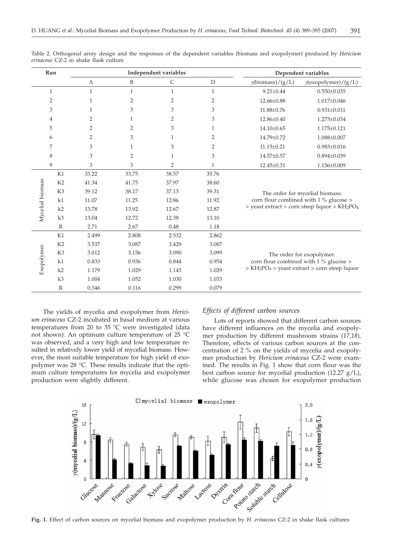| Run              |                | Independent variables |                |              |                | Dependent variables                                                                                                                                |                             |  |
|------------------|----------------|-----------------------|----------------|--------------|----------------|----------------------------------------------------------------------------------------------------------------------------------------------------|-----------------------------|--|
|                  |                | A                     | B              | C            | $\mathbf D$    | $\gamma$ (biomass)/(g/L)                                                                                                                           | $\gamma$ (exopolymer)/(g/L) |  |
|                  | $\mathbf{1}$   | $\mathbf{1}$          | $\mathbf{1}$   | $\mathbf{1}$ | $\mathbf{1}$   | $9.21 \pm 0.44$                                                                                                                                    | $0.550 \pm 0.035$           |  |
|                  | $\overline{2}$ | $\mathbf{1}$          | $\overline{2}$ | 2            | 2              | $12.66 \pm 0.88$                                                                                                                                   | $1.017\pm0.046$             |  |
|                  | 3              | $\mathbf{1}$          | 3              | 3            | 3              | 11.88±0.76                                                                                                                                         | $0.931 \pm 0.011$           |  |
|                  | 4              | $\overline{2}$        | 1              | 2            | 3              | $12.86 \pm 0.40$                                                                                                                                   | 1.275±0.034                 |  |
|                  | 5              | $\overline{2}$        | $\overline{2}$ | 3            | 1              | $14.10\pm0.65$                                                                                                                                     | $1.175 \pm 0.121$           |  |
|                  | 6              | $\overline{2}$        | 3              | $\mathbf{1}$ | $\overline{2}$ | 14.79±0.72                                                                                                                                         | 1.088±0.007                 |  |
|                  | 7              | 3                     | 1              | 3            | 2              | $11.15 \pm 0.21$                                                                                                                                   | $0.983 \pm 0.016$           |  |
|                  | 8              | 3                     | 2              | $\mathbf{1}$ | 3              | 14.57±0.57                                                                                                                                         | $0.894 \pm 0.039$           |  |
|                  | 9              | 3                     | 3              | 2            | $\mathbf{1}$   | 12.45±0.31                                                                                                                                         | 1.136±0.009                 |  |
| Mycelial biomass | K1             | 33.22                 | 33.75          | 38.57        | 35.76          |                                                                                                                                                    |                             |  |
|                  | K <sub>2</sub> | 41.34                 | 41.75          | 37.97        | 38.60          | The order for mycelial biomass:<br>corn flour combined with 1 % glucose ><br>> yeast extract > corn steep liquor > KH <sub>2</sub> PO <sub>4</sub> |                             |  |
|                  | K <sub>3</sub> | 39.12                 | 38.17          | 37.13        | 39.31          |                                                                                                                                                    |                             |  |
|                  | k1             | 11.07                 | 11.25          | 12.86        | 11.92          |                                                                                                                                                    |                             |  |
|                  | k2             | 13.78                 | 13.92          | 12.67        | 12.87          |                                                                                                                                                    |                             |  |
|                  | k3             | 13.04                 | 12.72          | 12.38        | 13.10          |                                                                                                                                                    |                             |  |
|                  | $\mathbb{R}$   | 2.71                  | 2.67           | 0.48         | 1.18           |                                                                                                                                                    |                             |  |
| Exopolymer       | K1             | 2.499                 | 2.808          | 2.532        | 2.862          | The order for exopolymer:<br>corn flour combined with 1 % glucose ><br>$> KH2PO4$ $>$ yeast extract $>$ corn steep liquor                          |                             |  |
|                  | K2             | 3.537                 | 3.087          | 3.429        | 3.087          |                                                                                                                                                    |                             |  |
|                  | K <sub>3</sub> | 3.012                 | 3.156          | 3.090        | 3.099          |                                                                                                                                                    |                             |  |
|                  | k1             | 0.833                 | 0.936          | 0.844        | 0.954          |                                                                                                                                                    |                             |  |
|                  | k2             | 1.179                 | 1.029          | 1.143        | 1.029          |                                                                                                                                                    |                             |  |
|                  | k3             | 1.004                 | 1.052          | 1.030        | 1.033          |                                                                                                                                                    |                             |  |
|                  | $\mathbb{R}$   | 0.346                 | 0.116          | 0.299        | 0.079          |                                                                                                                                                    |                             |  |

Table 2. Orthogonal array design and the responses of the dependent variables (biomass and exopolymer) produced by *Hericium erinaceus* CZ-2 in shake flask culture

The yields of mycelia and exopolymer from *Hericium erinaceus* CZ-2 incubated in basal medium at various temperatures from 20 to 35 °C were investigated (data not shown). An optimum culture temperature of 25 °C was observed, and a very high and low temperature resulted in relatively lower yield of mycelial biomass. However, the most suitable temperature for high yield of exopolymer was 28 °C. These results indicate that the optimum culture temperatures for mycelia and exopolymer production were slightly different.

# *Effects of different carbon sources*

Lots of reports showed that different carbon sources have different influences on the mycelia and exopolymer production by different mushroom strains (*17,18*). Therefore, effects of various carbon sources at the concentration of 2 % on the yields of mycelia and exopolymer production by *Hericium erinaceus* CZ-2 were examined. The results in Fig. 1 show that corn flour was the best carbon source for mycelial production (12.27 g/L), while glucose was chosen for exopolymer production



**Fig. 1.** Effect of carbon sources on mycelial biomass and exopolymer production by *H. erinaceus* CZ-2 in shake flask cultures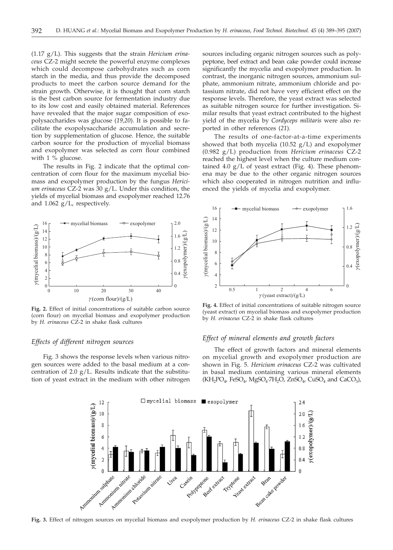(1.17 g/L). This suggests that the strain *Hericium erinaceus* CZ-2 might secrete the powerful enzyme complexes which could decompose carbohydrates such as corn starch in the media, and thus provide the decomposed products to meet the carbon source demand for the strain growth. Otherwise, it is thought that corn starch is the best carbon source for fermentation industry due to its low cost and easily obtained material. References have revealed that the major sugar composition of exopolysaccharides was glucose (*19,20*). It is possible to facilitate the exopolysaccharide accumulation and secretion by supplementation of glucose. Hence, the suitable carbon source for the production of mycelial biomass and exopolymer was selected as corn flour combined with 1 % glucose.

The results in Fig. 2 indicate that the optimal concentration of corn flour for the maximum mycelial biomass and exopolymer production by the fungus *Hericium erinaceus* CZ-2 was 30 g/L. Under this condition, the yields of mycelial biomass and exopolymer reached 12.76 and 1.062 g/L, respectively.



**Fig. 2.** Effect of initial concentrations of suitable carbon source (corn flour) on mycelial biomass and exopolymer production by *H. erinaceus* CZ-2 in shake flask cultures

# *Effects of different nitrogen sources*

Fig. 3 shows the response levels when various nitrogen sources were added to the basal medium at a concentration of 2.0 g/L. Results indicate that the substitution of yeast extract in the medium with other nitrogen sources including organic nitrogen sources such as polypeptone, beef extract and bean cake powder could increase significantly the mycelia and exopolymer production. In contrast, the inorganic nitrogen sources, ammonium sulphate, ammonium nitrate, ammonium chloride and potassium nitrate, did not have very efficient effect on the response levels. Therefore, the yeast extract was selected as suitable nitrogen source for further investigation. Similar results that yeast extract contributed to the highest yield of the mycelia by *Cordyceps militaris* were also reported in other references (*21*)*.*

The results of one-factor-at-a-time experiments showed that both mycelia  $(10.52 \text{ g/L})$  and exopolymer (0.982 g/L) production from *Hericium erinaceus* CZ-2 reached the highest level when the culture medium contained 4.0  $g/L$  of yeast extract (Fig. 4). These phenomena may be due to the other organic nitrogen sources which also cooperated in nitrogen nutrition and influenced the yields of mycelia and exopolymer.



**Fig. 4.** Effect of initial concentrations of suitable nitrogen source (yeast extract) on mycelial biomass and exopolymer production by *H. erinaceus* CZ-2 in shake flask cultures

# *Effect of mineral elements and growth factors*

The effect of growth factors and mineral elements on mycelial growth and exopolymer production are shown in Fig. 5. *Hericium erinaceus* CZ-2 was cultivated in basal medium containing various mineral elements  $(KH_2PO_4$ , FeSO<sub>4</sub>, MgSO<sub>4</sub>.7H<sub>2</sub>O, ZnSO<sub>4</sub>, CuSO<sub>4</sub> and CaCO<sub>3</sub>),



**Fig. 3.** Effect of nitrogen sources on mycelial biomass and exopolymer production by *H. erinaceus* CZ-2 in shake flask cultures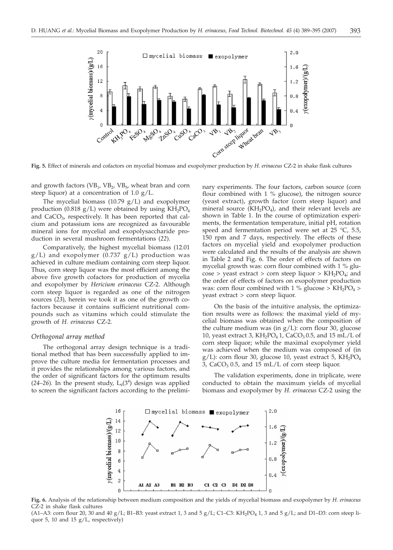

and growth factors ( $VB<sub>1</sub>$ ,  $VB<sub>2</sub>$ ,  $VB<sub>5</sub>$ , wheat bran and corn steep liquor) at a concentration of 1.0 g/L.

The mycelial biomass  $(10.79 \text{ g/L})$  and exopolymer production (0.818 g/L) were obtained by using  $KH_2PO_4$ and  $CaCO<sub>3</sub>$ , respectively. It has been reported that calcium and potassium ions are recognized as favourable mineral ions for mycelial and exopolysaccharide production in several mushroom fermentations (*22*).

Comparatively, the highest mycelial biomass (12.01  $g/L$ ) and exopolymer (0.737  $g/L$ ) production was achieved in culture medium containing corn steep liquor. Thus, corn steep liquor was the most efficient among the above five growth cofactors for production of mycelia and exopolymer by *Hericium erinaceus* CZ-2. Although corn steep liquor is regarded as one of the nitrogen sources (*23*), herein we took it as one of the growth cofactors because it contains sufficient nutritional compounds such as vitamins which could stimulate the growth of *H. erinaceus* CZ-2.

#### *Orthogonal array method*

The orthogonal array design technique is a traditional method that has been successfully applied to improve the culture media for fermentation processes and it provides the relationships among various factors, and the order of significant factors for the optimum results  $(24-26)$ . In the present study,  $L_9(3^4)$  design was applied to screen the significant factors according to the preliminary experiments. The four factors, carbon source (corn flour combined with 1 % glucose), the nitrogen source (yeast extract), growth factor (corn steep liquor) and mineral source  $(KH_2PO_4)$ , and their relevant levels are shown in Table 1. In the course of optimization experiments, the fermentation temperature, initial pH, rotation speed and fermentation period were set at 25  $^{\circ}$ C, 5.5, 150 rpm and 7 days, respectively. The effects of these factors on mycelial yield and exopolymer production were calculated and the results of the analysis are shown in Table 2 and Fig. 6. The order of effects of factors on mycelial growth was: corn flour combined with 1 % glu- $\cos$ e > yeast extract > corn steep liquor > KH<sub>2</sub>PO<sub>4</sub>; and the order of effects of factors on exopolymer production was: corn flour combined with 1 % glucose >  $KH_2PO_4$  > yeast extract > corn steep liquor.

On the basis of the intuitive analysis, the optimization results were as follows: the maximal yield of mycelial biomass was obtained when the composition of the culture medium was (in  $g/L$ ): corn flour 30, glucose 10, yeast extract 3,  $KH_2PO_4$  1,  $CaCO_3$  0.5, and 15 mL/L of corn steep liquor; while the maximal exopolymer yield was achieved when the medium was composed of (in g/L): corn flour 30, glucose 10, yeast extract 5,  $KH_2PO_4$ 3,  $CaCO<sub>3</sub> 0.5$ , and 15 mL/L of corn steep liquor.

The validation experiments, done in triplicate, were conducted to obtain the maximum yields of mycelial biomass and exopolymer by *H. erinaceus* CZ-2 using the



**Fig. 6.** Analysis of the relationship between medium composition and the yields of mycelial biomass and exopolymer by *H. erinaceus* CZ-2 in shake flask cultures

(A1–A3: corn flour 20, 30 and 40  $g/L$ ; B1–B3: yeast extract 1, 3 and 5  $g/L$ ; C1–C3: KH<sub>2</sub>PO<sub>4</sub> 1, 3 and 5  $g/L$ ; and D1–D3: corn steep liquor 5, 10 and 15  $g/L$ , respectively)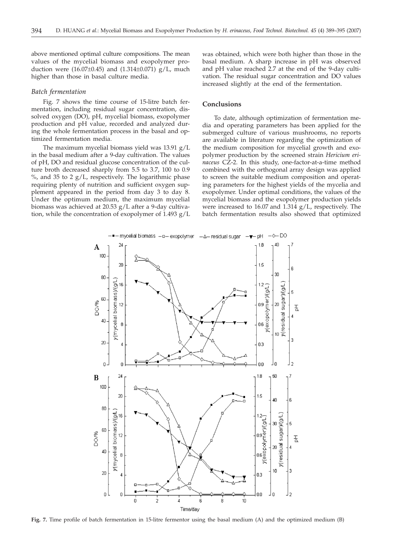above mentioned optimal culture compositions. The mean values of the mycelial biomass and exopolymer production were  $(16.07\pm0.45)$  and  $(1.314\pm0.071)$  g/L, much higher than those in basal culture media.

#### *Batch fermentation*

Fig. 7 shows the time course of 15-litre batch fermentation, including residual sugar concentration, dissolved oxygen (DO), pH, mycelial biomass, exopolymer production and pH value, recorded and analyzed during the whole fermentation process in the basal and optimized fermentation media.

The maximum mycelial biomass yield was 13.91 g/L in the basal medium after a 9-day cultivation. The values of pH, DO and residual glucose concentration of the culture broth decreased sharply from 5.5 to 3.7, 100 to 0.9  $\%$ , and 35 to 2 g/L, respectively. The logarithmic phase requiring plenty of nutrition and sufficient oxygen supplement appeared in the period from day 3 to day 8. Under the optimum medium, the maximum mycelial biomass was achieved at 20.53 g/L after a 9-day cultivation, while the concentration of exopolymer of 1.493 g/L was obtained, which were both higher than those in the basal medium. A sharp increase in pH was observed and pH value reached 2.7 at the end of the 9-day cultivation. The residual sugar concentration and DO values increased slightly at the end of the fermentation.

# **Conclusions**

To date, although optimization of fermentation media and operating parameters has been applied for the submerged culture of various mushrooms, no reports are available in literature regarding the optimization of the medium composition for mycelial growth and exopolymer production by the screened strain *Hericium erinaceus* CZ-2. In this study, one-factor-at-a-time method combined with the orthogonal array design was applied to screen the suitable medium composition and operating parameters for the highest yields of the mycelia and exopolymer. Under optimal conditions, the values of the mycelial biomass and the exopolymer production yields were increased to 16.07 and 1.314 g/L, respectively. The batch fermentation results also showed that optimized



**Fig. 7.** Time profile of batch fermentation in 15-litre fermentor using the basal medium (A) and the optimized medium (B)